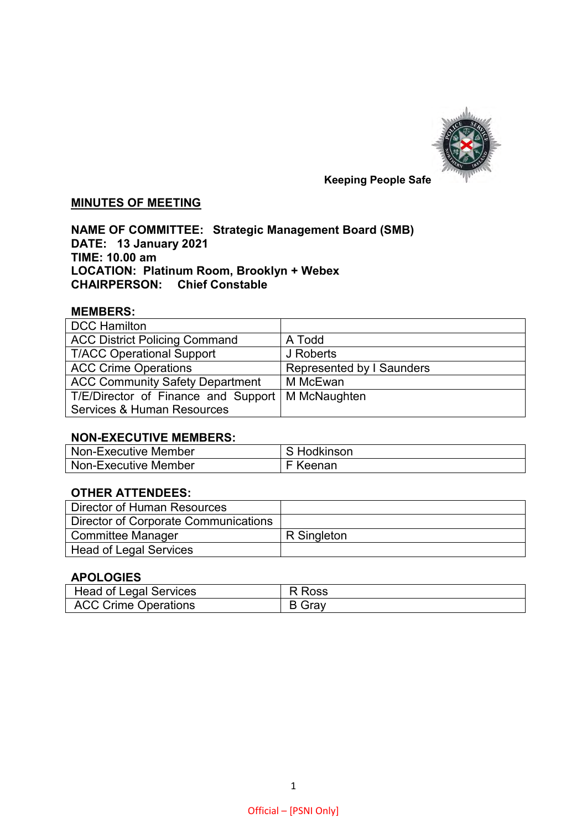

# **MINUTES OF MEETING**

**NAME OF COMMITTEE: Strategic Management Board (SMB) DATE: 13 January 2021 TIME: 10.00 am LOCATION: Platinum Room, Brooklyn + Webex CHAIRPERSON: Chief Constable** 

## **MEMBERS:**

| <b>DCC Hamilton</b>                                |                           |
|----------------------------------------------------|---------------------------|
| <b>ACC District Policing Command</b>               | A Todd                    |
| <b>T/ACC Operational Support</b>                   | J Roberts                 |
| <b>ACC Crime Operations</b>                        | Represented by I Saunders |
| <b>ACC Community Safety Department</b>             | M McEwan                  |
| T/E/Director of Finance and Support   M McNaughten |                           |
| Services & Human Resources                         |                           |

## **NON-EXECUTIVE MEMBERS:**

| Non-Executive Member | S Hodkinson |
|----------------------|-------------|
| Non-Executive Member | F Keenan    |

#### **OTHER ATTENDEES:**

| Director of Human Resources          |             |
|--------------------------------------|-------------|
| Director of Corporate Communications |             |
| Committee Manager                    | R Singleton |
| <b>Head of Legal Services</b>        |             |

#### **APOLOGIES**

| <b>Head of Legal Services</b> | R Ross        |
|-------------------------------|---------------|
| <b>ACC Crime Operations</b>   | <b>B</b> Gray |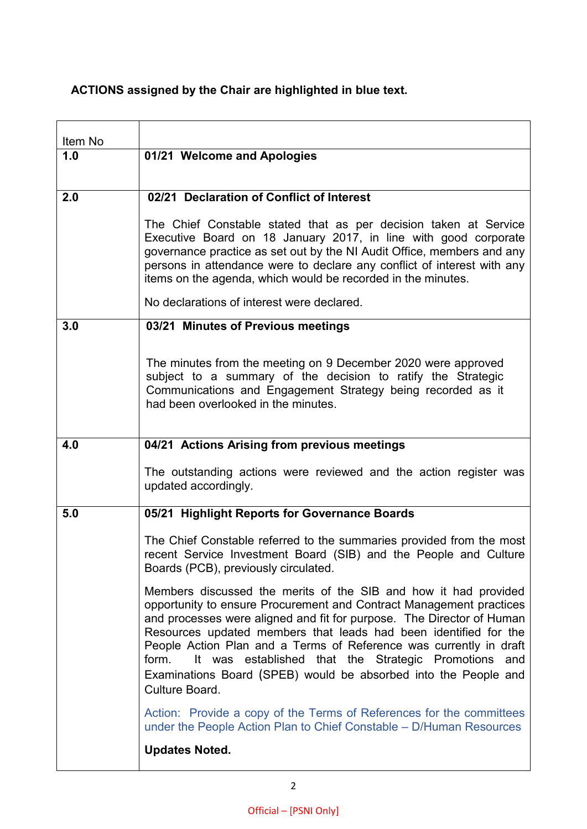# **ACTIONS assigned by the Chair are highlighted in blue text.**

| Item No |                                                                                                                                                                                                                                                                                                                                                                                                                                                                                                                 |
|---------|-----------------------------------------------------------------------------------------------------------------------------------------------------------------------------------------------------------------------------------------------------------------------------------------------------------------------------------------------------------------------------------------------------------------------------------------------------------------------------------------------------------------|
| 1.0     | 01/21 Welcome and Apologies                                                                                                                                                                                                                                                                                                                                                                                                                                                                                     |
|         |                                                                                                                                                                                                                                                                                                                                                                                                                                                                                                                 |
| 2.0     | 02/21 Declaration of Conflict of Interest                                                                                                                                                                                                                                                                                                                                                                                                                                                                       |
|         | The Chief Constable stated that as per decision taken at Service<br>Executive Board on 18 January 2017, in line with good corporate<br>governance practice as set out by the NI Audit Office, members and any<br>persons in attendance were to declare any conflict of interest with any<br>items on the agenda, which would be recorded in the minutes.                                                                                                                                                        |
|         | No declarations of interest were declared.                                                                                                                                                                                                                                                                                                                                                                                                                                                                      |
| 3.0     | 03/21 Minutes of Previous meetings                                                                                                                                                                                                                                                                                                                                                                                                                                                                              |
|         | The minutes from the meeting on 9 December 2020 were approved<br>subject to a summary of the decision to ratify the Strategic<br>Communications and Engagement Strategy being recorded as it<br>had been overlooked in the minutes.                                                                                                                                                                                                                                                                             |
| 4.0     | 04/21 Actions Arising from previous meetings                                                                                                                                                                                                                                                                                                                                                                                                                                                                    |
|         | The outstanding actions were reviewed and the action register was<br>updated accordingly.                                                                                                                                                                                                                                                                                                                                                                                                                       |
| 5.0     | 05/21 Highlight Reports for Governance Boards                                                                                                                                                                                                                                                                                                                                                                                                                                                                   |
|         | The Chief Constable referred to the summaries provided from the most<br>recent Service Investment Board (SIB) and the People and Culture<br>Boards (PCB), previously circulated.                                                                                                                                                                                                                                                                                                                                |
|         | Members discussed the merits of the SIB and how it had provided<br>opportunity to ensure Procurement and Contract Management practices<br>and processes were aligned and fit for purpose. The Director of Human<br>Resources updated members that leads had been identified for the<br>People Action Plan and a Terms of Reference was currently in draft<br>It was established that the Strategic Promotions and<br>form.<br>Examinations Board (SPEB) would be absorbed into the People and<br>Culture Board. |
|         | Action: Provide a copy of the Terms of References for the committees<br>under the People Action Plan to Chief Constable – D/Human Resources                                                                                                                                                                                                                                                                                                                                                                     |
|         | <b>Updates Noted.</b>                                                                                                                                                                                                                                                                                                                                                                                                                                                                                           |
|         |                                                                                                                                                                                                                                                                                                                                                                                                                                                                                                                 |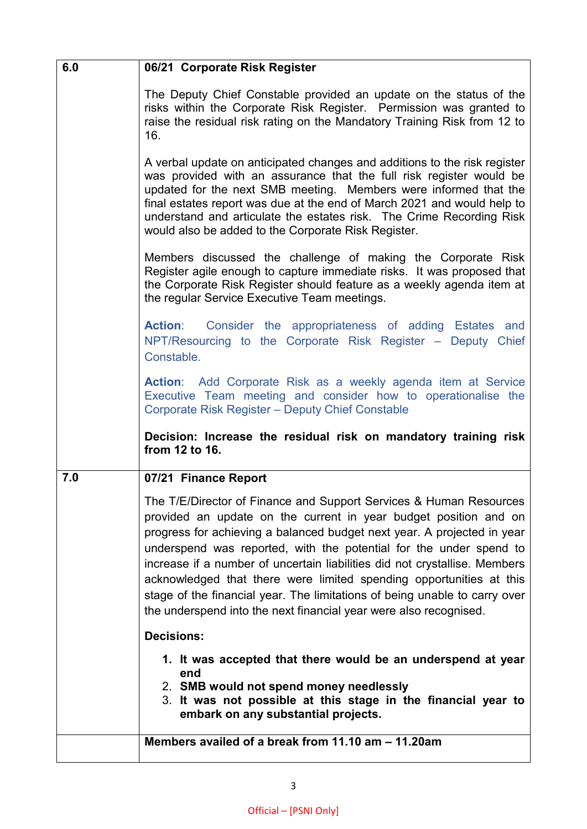| 6.0 | 06/21 Corporate Risk Register                                                                                                                                                                                                                                                                                                                                                                                                                                                                                                                                                                   |
|-----|-------------------------------------------------------------------------------------------------------------------------------------------------------------------------------------------------------------------------------------------------------------------------------------------------------------------------------------------------------------------------------------------------------------------------------------------------------------------------------------------------------------------------------------------------------------------------------------------------|
|     | The Deputy Chief Constable provided an update on the status of the<br>risks within the Corporate Risk Register. Permission was granted to<br>raise the residual risk rating on the Mandatory Training Risk from 12 to<br>16.                                                                                                                                                                                                                                                                                                                                                                    |
|     | A verbal update on anticipated changes and additions to the risk register<br>was provided with an assurance that the full risk register would be<br>updated for the next SMB meeting. Members were informed that the<br>final estates report was due at the end of March 2021 and would help to<br>understand and articulate the estates risk. The Crime Recording Risk<br>would also be added to the Corporate Risk Register.                                                                                                                                                                  |
|     | Members discussed the challenge of making the Corporate Risk<br>Register agile enough to capture immediate risks. It was proposed that<br>the Corporate Risk Register should feature as a weekly agenda item at<br>the regular Service Executive Team meetings.                                                                                                                                                                                                                                                                                                                                 |
|     | <b>Action:</b> Consider the appropriateness of adding Estates and<br>NPT/Resourcing to the Corporate Risk Register - Deputy Chief<br>Constable.                                                                                                                                                                                                                                                                                                                                                                                                                                                 |
|     | Action: Add Corporate Risk as a weekly agenda item at Service<br>Executive Team meeting and consider how to operationalise the<br><b>Corporate Risk Register - Deputy Chief Constable</b>                                                                                                                                                                                                                                                                                                                                                                                                       |
|     | Decision: Increase the residual risk on mandatory training risk<br>from 12 to 16.                                                                                                                                                                                                                                                                                                                                                                                                                                                                                                               |
| 7.0 | 07/21 Finance Report                                                                                                                                                                                                                                                                                                                                                                                                                                                                                                                                                                            |
|     | The T/E/Director of Finance and Support Services & Human Resources<br>provided an update on the current in year budget position and on<br>progress for achieving a balanced budget next year. A projected in year<br>underspend was reported, with the potential for the under spend to<br>increase if a number of uncertain liabilities did not crystallise. Members<br>acknowledged that there were limited spending opportunities at this<br>stage of the financial year. The limitations of being unable to carry over<br>the underspend into the next financial year were also recognised. |
|     | <b>Decisions:</b>                                                                                                                                                                                                                                                                                                                                                                                                                                                                                                                                                                               |
|     | 1. It was accepted that there would be an underspend at year<br>end<br>2. SMB would not spend money needlessly<br>3. It was not possible at this stage in the financial year to<br>embark on any substantial projects.                                                                                                                                                                                                                                                                                                                                                                          |
|     | Members availed of a break from 11.10 am - 11.20am                                                                                                                                                                                                                                                                                                                                                                                                                                                                                                                                              |